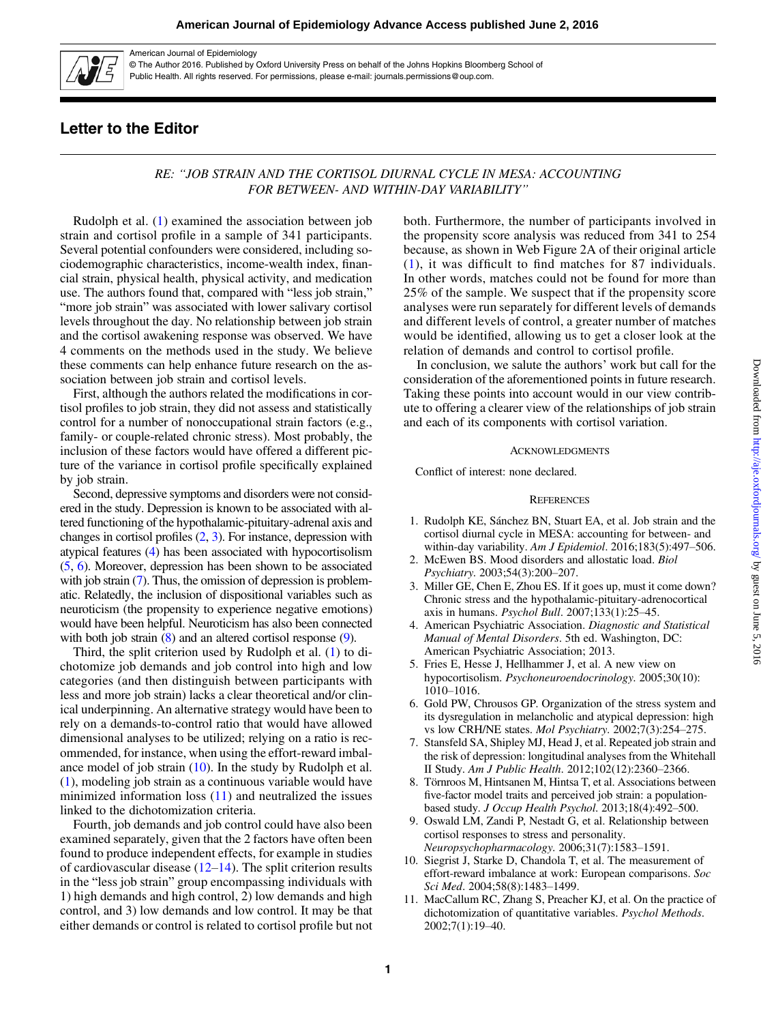

American Journal of Epidemiology

© The Author 2016. Published by Oxford University Press on behalf of the Johns Hopkins Bloomberg School of Public Health. All rights reserved. For permissions, please e-mail: journals.permissions@oup.com.

## Letter to the Editor

## RE: "JOB STRAIN AND THE CORTISOL DIURNAL CYCLE IN MESA: ACCOUNTING FOR BETWEEN- AND WITHIN-DAY VARIABILITY"

Rudolph et al. (1) examined the association between job strain and cortisol profile in a sample of 341 participants. Several potential confounders were considered, including sociodemographic characteristics, income-wealth index, financial strain, physical health, physical activity, and medication use. The authors found that, compared with "less job strain," "more job strain" was associated with lower salivary cortisol levels throughout the day. No relationship between job strain and the cortisol awakening response was observed. We have 4 comments on the methods used in the study. We believe these comments can help enhance future research on the association between job strain and cortisol levels.

First, although the authors related the modifications in cortisol profiles to job strain, they did not assess and statistically control for a number of nonoccupational strain factors (e.g., family- or couple-related chronic stress). Most probably, the inclusion of these factors would have offered a different picture of the variance in cortisol profile specifically explained by job strain.

Second, depressive symptoms and disorders were not considered in the study. Depression is known to be associated with altered functioning of the hypothalamic-pituitary-adrenal axis and changes in cortisol profiles (2, 3). For instance, depression with atypical features (4) has been associated with hypocortisolism (5, 6). Moreover, depression has been shown to be associated with job strain (7). Thus, the omission of depression is problematic. Relatedly, the inclusion of dispositional variables such as neuroticism (the propensity to experience negative emotions) would have been helpful. Neuroticism has also been connected with both job strain (8) and an altered cortisol response (9).

Third, the split criterion used by Rudolph et al. (1) to dichotomize job demands and job control into high and low categories (and then distinguish between participants with less and more job strain) lacks a clear theoretical and/or clinical underpinning. An alternative strategy would have been to rely on a demands-to-control ratio that would have allowed dimensional analyses to be utilized; relying on a ratio is recommended, for instance, when using the effort-reward imbalance model of job strain  $(10)$ . In the study by Rudolph et al. (1), modeling job strain as a continuous variable would have minimized information loss  $(11)$  and neutralized the issues linked to the dichotomization criteria.

Fourth, job demands and job control could have also been examined separately, given that the 2 factors have often been found to produce independent effects, for example in studies of cardiovascular disease  $(12-14)$  $(12-14)$  $(12-14)$  $(12-14)$  $(12-14)$ . The split criterion results in the "less job strain" group encompassing individuals with 1) high demands and high control, 2) low demands and high control, and 3) low demands and low control. It may be that either demands or control is related to cortisol profile but not both. Furthermore, the number of participants involved in the propensity score analysis was reduced from 341 to 254 because, as shown in [Web Figure 2A](http://aje.oxfordjournals.org/lookup/suppl/doi:10.1093/aje/kww049/-/DC1) of their original article (1), it was difficult to find matches for 87 individuals. In other words, matches could not be found for more than 25% of the sample. We suspect that if the propensity score analyses were run separately for different levels of demands and different levels of control, a greater number of matches would be identified, allowing us to get a closer look at the relation of demands and control to cortisol profile.

In conclusion, we salute the authors' work but call for the consideration of the aforementioned points in future research. Taking these points into account would in our view contribute to offering a clearer view of the relationships of job strain and each of its components with cortisol variation.

## **ACKNOWLEDGMENTS**

Conflict of interest: none declared.

## **REFERENCES**

- 1. Rudolph KE, Sánchez BN, Stuart EA, et al. Job strain and the cortisol diurnal cycle in MESA: accounting for between- and within-day variability. Am J Epidemiol. 2016;183(5):497–506.
- 2. McEwen BS. Mood disorders and allostatic load. Biol Psychiatry. 2003;54(3):200–207.
- 3. Miller GE, Chen E, Zhou ES. If it goes up, must it come down? Chronic stress and the hypothalamic-pituitary-adrenocortical axis in humans. Psychol Bull. 2007;133(1):25–45.
- 4. American Psychiatric Association. Diagnostic and Statistical Manual of Mental Disorders. 5th ed. Washington, DC: American Psychiatric Association; 2013.
- 5. Fries E, Hesse J, Hellhammer J, et al. A new view on hypocortisolism. Psychoneuroendocrinology. 2005;30(10): 1010–1016.
- 6. Gold PW, Chrousos GP. Organization of the stress system and its dysregulation in melancholic and atypical depression: high vs low CRH/NE states. Mol Psychiatry. 2002;7(3):254–275.
- 7. Stansfeld SA, Shipley MJ, Head J, et al. Repeated job strain and the risk of depression: longitudinal analyses from the Whitehall II Study. Am J Public Health. 2012;102(12):2360–2366.
- 8. Törnroos M, Hintsanen M, Hintsa T, et al. Associations between five-factor model traits and perceived job strain: a populationbased study. J Occup Health Psychol. 2013;18(4):492–500.
- 9. Oswald LM, Zandi P, Nestadt G, et al. Relationship between cortisol responses to stress and personality. Neuropsychopharmacology. 2006;31(7):1583–1591.
- 10. Siegrist J, Starke D, Chandola T, et al. The measurement of effort-reward imbalance at work: European comparisons. Soc Sci Med. 2004;58(8):1483–1499.
- 11. MacCallum RC, Zhang S, Preacher KJ, et al. On the practice of dichotomization of quantitative variables. Psychol Methods. 2002;7(1):19–40.